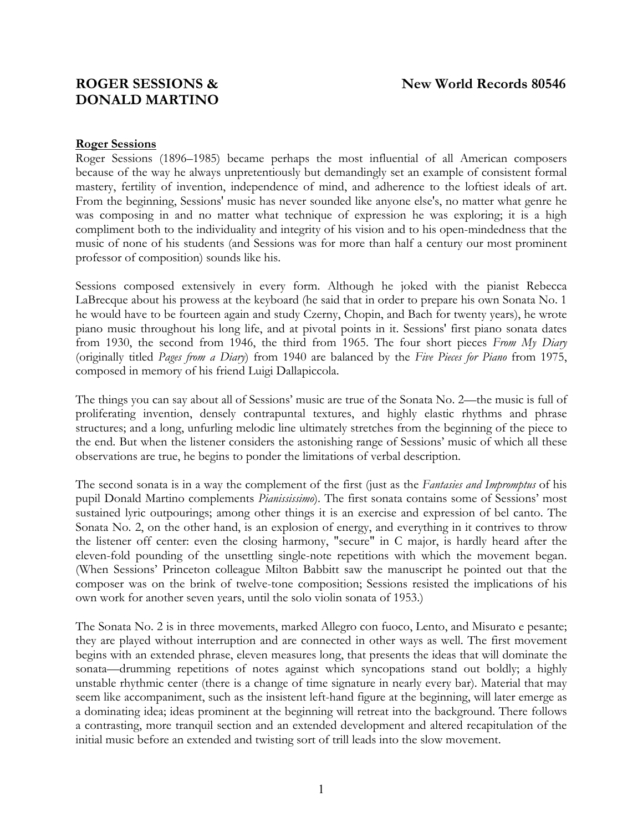# **DONALD MARTINO**

## **Roger Sessions**

Roger Sessions (1896–1985) became perhaps the most influential of all American composers because of the way he always unpretentiously but demandingly set an example of consistent formal mastery, fertility of invention, independence of mind, and adherence to the loftiest ideals of art. From the beginning, Sessions' music has never sounded like anyone else's, no matter what genre he was composing in and no matter what technique of expression he was exploring; it is a high compliment both to the individuality and integrity of his vision and to his open-mindedness that the music of none of his students (and Sessions was for more than half a century our most prominent professor of composition) sounds like his.

Sessions composed extensively in every form. Although he joked with the pianist Rebecca LaBrecque about his prowess at the keyboard (he said that in order to prepare his own Sonata No. 1 he would have to be fourteen again and study Czerny, Chopin, and Bach for twenty years), he wrote piano music throughout his long life, and at pivotal points in it. Sessions' first piano sonata dates from 1930, the second from 1946, the third from 1965. The four short pieces *From My Diary* (originally titled *Pages from a Diary*) from 1940 are balanced by the *Five Pieces for Piano* from 1975, composed in memory of his friend Luigi Dallapiccola.

The things you can say about all of Sessions' music are true of the Sonata No. 2—the music is full of proliferating invention, densely contrapuntal textures, and highly elastic rhythms and phrase structures; and a long, unfurling melodic line ultimately stretches from the beginning of the piece to the end. But when the listener considers the astonishing range of Sessions' music of which all these observations are true, he begins to ponder the limitations of verbal description.

The second sonata is in a way the complement of the first (just as the *Fantasies and Impromptus* of his pupil Donald Martino complements *Pianississimo*). The first sonata contains some of Sessions' most sustained lyric outpourings; among other things it is an exercise and expression of bel canto. The Sonata No. 2, on the other hand, is an explosion of energy, and everything in it contrives to throw the listener off center: even the closing harmony, "secure" in C major, is hardly heard after the eleven-fold pounding of the unsettling single-note repetitions with which the movement began. (When Sessions' Princeton colleague Milton Babbitt saw the manuscript he pointed out that the composer was on the brink of twelve-tone composition; Sessions resisted the implications of his own work for another seven years, until the solo violin sonata of 1953.)

The Sonata No. 2 is in three movements, marked Allegro con fuoco, Lento, and Misurato e pesante; they are played without interruption and are connected in other ways as well. The first movement begins with an extended phrase, eleven measures long, that presents the ideas that will dominate the sonata—drumming repetitions of notes against which syncopations stand out boldly; a highly unstable rhythmic center (there is a change of time signature in nearly every bar). Material that may seem like accompaniment, such as the insistent left-hand figure at the beginning, will later emerge as a dominating idea; ideas prominent at the beginning will retreat into the background. There follows a contrasting, more tranquil section and an extended development and altered recapitulation of the initial music before an extended and twisting sort of trill leads into the slow movement.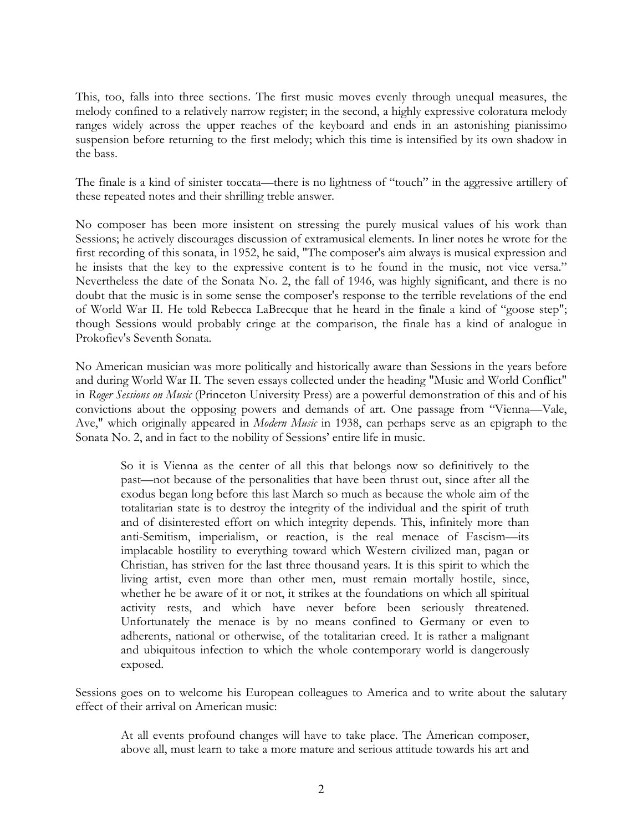This, too, falls into three sections. The first music moves evenly through unequal measures, the melody confined to a relatively narrow register; in the second, a highly expressive coloratura melody ranges widely across the upper reaches of the keyboard and ends in an astonishing pianissimo suspension before returning to the first melody; which this time is intensified by its own shadow in the bass.

The finale is a kind of sinister toccata—there is no lightness of "touch" in the aggressive artillery of these repeated notes and their shrilling treble answer.

No composer has been more insistent on stressing the purely musical values of his work than Sessions; he actively discourages discussion of extramusical elements. In liner notes he wrote for the first recording of this sonata, in 1952, he said, "The composer's aim always is musical expression and he insists that the key to the expressive content is to he found in the music, not vice versa." Nevertheless the date of the Sonata No. 2, the fall of 1946, was highly significant, and there is no doubt that the music is in some sense the composer's response to the terrible revelations of the end of World War II. He told Rebecca LaBrecque that he heard in the finale a kind of "goose step"; though Sessions would probably cringe at the comparison, the finale has a kind of analogue in Prokofiev's Seventh Sonata.

No American musician was more politically and historically aware than Sessions in the years before and during World War II. The seven essays collected under the heading "Music and World Conflict" in *Roger Sessions on Music* (Princeton University Press) are a powerful demonstration of this and of his convictions about the opposing powers and demands of art. One passage from "Vienna—Vale, Ave," which originally appeared in *Modern Music* in 1938, can perhaps serve as an epigraph to the Sonata No. 2, and in fact to the nobility of Sessions' entire life in music.

So it is Vienna as the center of all this that belongs now so definitively to the past—not because of the personalities that have been thrust out, since after all the exodus began long before this last March so much as because the whole aim of the totalitarian state is to destroy the integrity of the individual and the spirit of truth and of disinterested effort on which integrity depends. This, infinitely more than anti-Semitism, imperialism, or reaction, is the real menace of Fascism—its implacable hostility to everything toward which Western civilized man, pagan or Christian, has striven for the last three thousand years. It is this spirit to which the living artist, even more than other men, must remain mortally hostile, since, whether he be aware of it or not, it strikes at the foundations on which all spiritual activity rests, and which have never before been seriously threatened. Unfortunately the menace is by no means confined to Germany or even to adherents, national or otherwise, of the totalitarian creed. It is rather a malignant and ubiquitous infection to which the whole contemporary world is dangerously exposed.

Sessions goes on to welcome his European colleagues to America and to write about the salutary effect of their arrival on American music:

At all events profound changes will have to take place. The American composer, above all, must learn to take a more mature and serious attitude towards his art and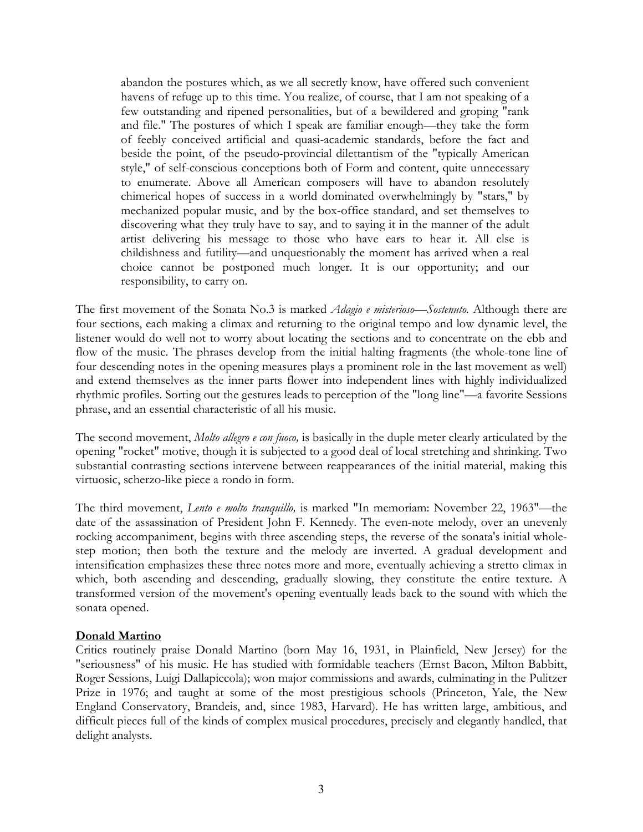abandon the postures which, as we all secretly know, have offered such convenient havens of refuge up to this time. You realize, of course, that I am not speaking of a few outstanding and ripened personalities, but of a bewildered and groping "rank and file." The postures of which I speak are familiar enough—they take the form of feebly conceived artificial and quasi-academic standards, before the fact and beside the point, of the pseudo-provincial dilettantism of the "typically American style," of self-conscious conceptions both of Form and content, quite unnecessary to enumerate. Above all American composers will have to abandon resolutely chimerical hopes of success in a world dominated overwhelmingly by "stars," by mechanized popular music, and by the box-office standard, and set themselves to discovering what they truly have to say, and to saying it in the manner of the adult artist delivering his message to those who have ears to hear it. All else is childishness and futility—and unquestionably the moment has arrived when a real choice cannot be postponed much longer. It is our opportunity; and our responsibility, to carry on.

The first movement of the Sonata No.3 is marked *Adagio e misterioso—Sostenuto.* Although there are four sections, each making a climax and returning to the original tempo and low dynamic level, the listener would do well not to worry about locating the sections and to concentrate on the ebb and flow of the music. The phrases develop from the initial halting fragments (the whole-tone line of four descending notes in the opening measures plays a prominent role in the last movement as well) and extend themselves as the inner parts flower into independent lines with highly individualized rhythmic profiles. Sorting out the gestures leads to perception of the "long line"—a favorite Sessions phrase, and an essential characteristic of all his music.

The second movement, *Molto allegro e con fuoco,* is basically in the duple meter clearly articulated by the opening "rocket" motive, though it is subjected to a good deal of local stretching and shrinking. Two substantial contrasting sections intervene between reappearances of the initial material, making this virtuosic, scherzo-like piece a rondo in form.

The third movement, *Lento e molto tranquillo,* is marked "In memoriam: November 22, 1963"—the date of the assassination of President John F. Kennedy. The even-note melody, over an unevenly rocking accompaniment, begins with three ascending steps, the reverse of the sonata's initial wholestep motion; then both the texture and the melody are inverted. A gradual development and intensification emphasizes these three notes more and more, eventually achieving a stretto climax in which, both ascending and descending, gradually slowing, they constitute the entire texture. A transformed version of the movement's opening eventually leads back to the sound with which the sonata opened.

## **Donald Martino**

Critics routinely praise Donald Martino (born May 16, 1931, in Plainfield, New Jersey) for the "seriousness" of his music. He has studied with formidable teachers (Ernst Bacon, Milton Babbitt, Roger Sessions, Luigi Dallapiccola); won major commissions and awards, culminating in the Pulitzer Prize in 1976; and taught at some of the most prestigious schools (Princeton, Yale, the New England Conservatory, Brandeis, and, since 1983, Harvard). He has written large, ambitious, and difficult pieces full of the kinds of complex musical procedures, precisely and elegantly handled, that delight analysts.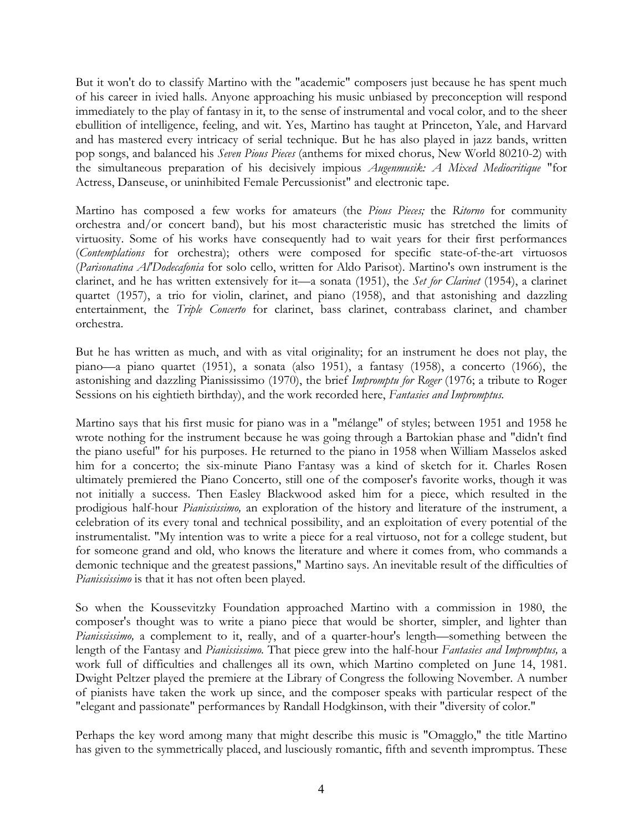But it won't do to classify Martino with the "academic" composers just because he has spent much of his career in ivied halls. Anyone approaching his music unbiased by preconception will respond immediately to the play of fantasy in it, to the sense of instrumental and vocal color, and to the sheer ebullition of intelligence, feeling, and wit. Yes, Martino has taught at Princeton, Yale, and Harvard and has mastered every intricacy of serial technique. But he has also played in jazz bands, written pop songs, and balanced his *Seven Pious Pieces* (anthems for mixed chorus, New World 80210-2) with the simultaneous preparation of his decisively impious *Augenmusik: A Mixed Mediocritique* "for Actress, Danseuse, or uninhibited Female Percussionist" and electronic tape.

Martino has composed a few works for amateurs (the *Pious Pieces;* the *Ritorno* for community orchestra and/or concert band), but his most characteristic music has stretched the limits of virtuosity. Some of his works have consequently had to wait years for their first performances (*Contemplations* for orchestra); others were composed for specific state-of-the-art virtuosos (*Parisonatina Al'Dodecafonia* for solo cello, written for Aldo Parisot). Martino's own instrument is the clarinet, and he has written extensively for it—a sonata (1951), the *Set for Clarinet* (1954), a clarinet quartet (1957), a trio for violin, clarinet, and piano (1958), and that astonishing and dazzling entertainment, the *Triple Concerto* for clarinet, bass clarinet, contrabass clarinet, and chamber orchestra.

But he has written as much, and with as vital originality; for an instrument he does not play, the piano—a piano quartet (1951), a sonata (also 1951), a fantasy (1958), a concerto (1966), the astonishing and dazzling Pianississimo (1970), the brief *Impromptu for Roger* (1976; a tribute to Roger Sessions on his eightieth birthday), and the work recorded here, *Fantasies and Impromptus.*

Martino says that his first music for piano was in a "mélange" of styles; between 1951 and 1958 he wrote nothing for the instrument because he was going through a Bartokian phase and "didn't find the piano useful" for his purposes. He returned to the piano in 1958 when William Masselos asked him for a concerto; the six-minute Piano Fantasy was a kind of sketch for it. Charles Rosen ultimately premiered the Piano Concerto, still one of the composer's favorite works, though it was not initially a success. Then Easley Blackwood asked him for a piece, which resulted in the prodigious half-hour *Pianississimo,* an exploration of the history and literature of the instrument, a celebration of its every tonal and technical possibility, and an exploitation of every potential of the instrumentalist. "My intention was to write a piece for a real virtuoso, not for a college student, but for someone grand and old, who knows the literature and where it comes from, who commands a demonic technique and the greatest passions," Martino says. An inevitable result of the difficulties of *Pianississimo* is that it has not often been played.

So when the Koussevitzky Foundation approached Martino with a commission in 1980, the composer's thought was to write a piano piece that would be shorter, simpler, and lighter than *Pianississimo,* a complement to it, really, and of a quarter-hour's length—something between the length of the Fantasy and *Pianississimo.* That piece grew into the half-hour *Fantasies and Impromptus,* a work full of difficulties and challenges all its own, which Martino completed on June 14, 1981. Dwight Peltzer played the premiere at the Library of Congress the following November. A number of pianists have taken the work up since, and the composer speaks with particular respect of the "elegant and passionate" performances by Randall Hodgkinson, with their "diversity of color."

Perhaps the key word among many that might describe this music is "Omagglo," the title Martino has given to the symmetrically placed, and lusciously romantic, fifth and seventh impromptus. These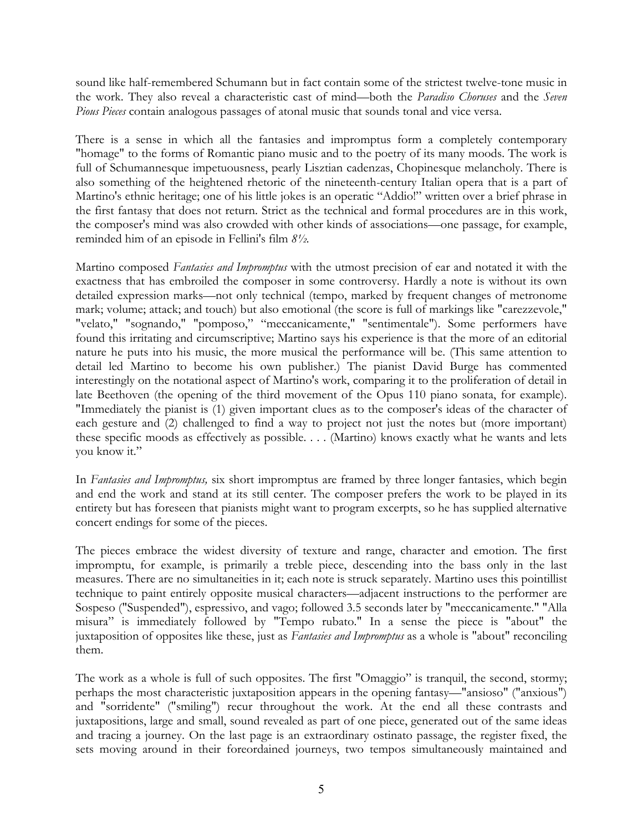sound like half-remembered Schumann but in fact contain some of the strictest twelve-tone music in the work. They also reveal a characteristic cast of mind—both the *Paradiso Choruses* and the *Seven Pious Pieces* contain analogous passages of atonal music that sounds tonal and vice versa.

There is a sense in which all the fantasies and impromptus form a completely contemporary "homage" to the forms of Romantic piano music and to the poetry of its many moods. The work is full of Schumannesque impetuousness, pearly Lisztian cadenzas, Chopinesque melancholy. There is also something of the heightened rhetoric of the nineteenth-century Italian opera that is a part of Martino's ethnic heritage; one of his little jokes is an operatic "Addio!" written over a brief phrase in the first fantasy that does not return. Strict as the technical and formal procedures are in this work, the composer's mind was also crowded with other kinds of associations—one passage, for example, reminded him of an episode in Fellini's film *8½.*

Martino composed *Fantasies and Impromptus* with the utmost precision of ear and notated it with the exactness that has embroiled the composer in some controversy. Hardly a note is without its own detailed expression marks—not only technical (tempo, marked by frequent changes of metronome mark; volume; attack; and touch) but also emotional (the score is full of markings like "carezzevole," "velato," "sognando," "pomposo," "meccanicamente," "sentimentale"). Some performers have found this irritating and circumscriptive; Martino says his experience is that the more of an editorial nature he puts into his music, the more musical the performance will be. (This same attention to detail led Martino to become his own publisher.) The pianist David Burge has commented interestingly on the notational aspect of Martino's work, comparing it to the proliferation of detail in late Beethoven (the opening of the third movement of the Opus 110 piano sonata, for example). "Immediately the pianist is (1) given important clues as to the composer's ideas of the character of each gesture and (2) challenged to find a way to project not just the notes but (more important) these specific moods as effectively as possible. . . . (Martino) knows exactly what he wants and lets you know it."

In *Fantasies and Impromptus,* six short impromptus are framed by three longer fantasies, which begin and end the work and stand at its still center. The composer prefers the work to be played in its entirety but has foreseen that pianists might want to program excerpts, so he has supplied alternative concert endings for some of the pieces.

The pieces embrace the widest diversity of texture and range, character and emotion. The first impromptu, for example, is primarily a treble piece, descending into the bass only in the last measures. There are no simultaneities in it; each note is struck separately. Martino uses this pointillist technique to paint entirely opposite musical characters—adjacent instructions to the performer are Sospeso ("Suspended"), espressivo, and vago; followed 3.5 seconds later by "meccanicamente." "Alla misura" is immediately followed by "Tempo rubato." In a sense the piece is "about" the juxtaposition of opposites like these, just as *Fantasies and Impromptus* as a whole is "about" reconciling them.

The work as a whole is full of such opposites. The first "Omaggio" is tranquil, the second, stormy; perhaps the most characteristic juxtaposition appears in the opening fantasy—"ansioso" ("anxious") and "sorridente" ("smiling") recur throughout the work. At the end all these contrasts and juxtapositions, large and small, sound revealed as part of one piece, generated out of the same ideas and tracing a journey. On the last page is an extraordinary ostinato passage, the register fixed, the sets moving around in their foreordained journeys, two tempos simultaneously maintained and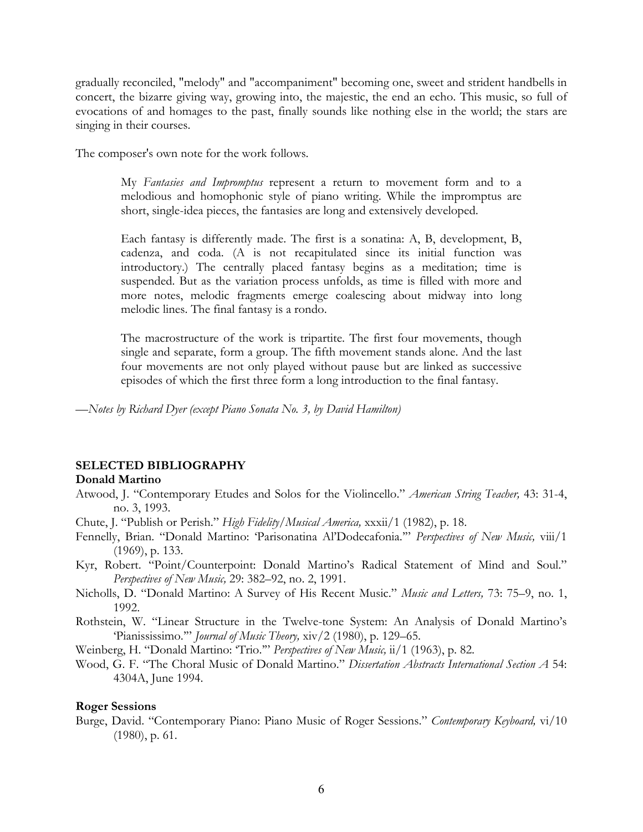gradually reconciled, "melody" and "accompaniment" becoming one, sweet and strident handbells in concert, the bizarre giving way, growing into, the majestic, the end an echo. This music, so full of evocations of and homages to the past, finally sounds like nothing else in the world; the stars are singing in their courses.

The composer's own note for the work follows.

My *Fantasies and Impromptus* represent a return to movement form and to a melodious and homophonic style of piano writing. While the impromptus are short, single-idea pieces, the fantasies are long and extensively developed.

Each fantasy is differently made. The first is a sonatina: A, B, development, B, cadenza, and coda. (A is not recapitulated since its initial function was introductory.) The centrally placed fantasy begins as a meditation; time is suspended. But as the variation process unfolds, as time is filled with more and more notes, melodic fragments emerge coalescing about midway into long melodic lines. The final fantasy is a rondo.

The macrostructure of the work is tripartite. The first four movements, though single and separate, form a group. The fifth movement stands alone. And the last four movements are not only played without pause but are linked as successive episodes of which the first three form a long introduction to the final fantasy.

*—Notes by Richard Dyer (except Piano Sonata No. 3, by David Hamilton)* 

## **SELECTED BIBLIOGRAPHY**

#### **Donald Martino**

- Atwood, J. "Contemporary Etudes and Solos for the Violincello." *American String Teacher,* 43: 31-4, no. 3, 1993.
- Chute, J. "Publish or Perish." *High Fidelity/Musical America,* xxxii/1 (1982), p. 18.
- Fennelly, Brian. "Donald Martino: 'Parisonatina Al'Dodecafonia.'" *Perspectives of New Music,* viii/1 (1969), p. 133.
- Kyr, Robert. "Point/Counterpoint: Donald Martino's Radical Statement of Mind and Soul." *Perspectives of New Music,* 29: 382–92, no. 2, 1991.
- Nicholls, D. "Donald Martino: A Survey of His Recent Music." *Music and Letters,* 73: 75–9, no. 1, 1992.
- Rothstein, W. "Linear Structure in the Twelve-tone System: An Analysis of Donald Martino's 'Pianississimo.'" *Journal of Music Theory,* xiv/2 (1980), p. 129–65.
- Weinberg, H. "Donald Martino: 'Trio.'" *Perspectives of New Music,* ii/1 (1963), p. 82.
- Wood, G. F. "The Choral Music of Donald Martino." *Dissertation Abstracts International Section A* 54: 4304A, June 1994.

#### **Roger Sessions**

Burge, David. "Contemporary Piano: Piano Music of Roger Sessions." *Contemporary Keyboard,* vi/10 (1980), p. 61.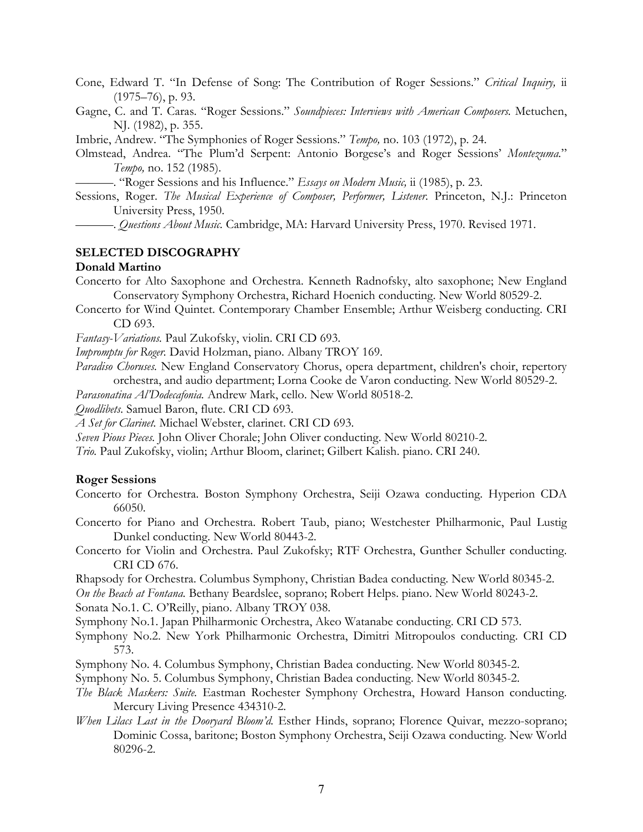Cone, Edward T. "In Defense of Song: The Contribution of Roger Sessions." *Critical Inquiry,* ii (1975–76), p. 93.

Gagne, C. and T. Caras. "Roger Sessions." *Soundpieces: Interviews with American Composers.* Metuchen, NJ. (1982), p. 355.

Imbrie, Andrew. "The Symphonies of Roger Sessions." *Tempo,* no. 103 (1972), p. 24.

Olmstead, Andrea. "The Plum'd Serpent: Antonio Borgese's and Roger Sessions' *Montezuma.*" *Tempo,* no. 152 (1985).

———. "Roger Sessions and his Influence." *Essays on Modern Music,* ii (1985), p. 23.

Sessions, Roger. *The Musical Experience of Composer, Performer, Listener.* Princeton, N.J.: Princeton University Press, 1950.

———. *Questions About Music.* Cambridge, MA: Harvard University Press, 1970. Revised 1971.

#### **SELECTED DISCOGRAPHY**

### **Donald Martino**

- Concerto for Alto Saxophone and Orchestra. Kenneth Radnofsky, alto saxophone; New England Conservatory Symphony Orchestra, Richard Hoenich conducting. New World 80529-2.
- Concerto for Wind Quintet. Contemporary Chamber Ensemble; Arthur Weisberg conducting. CRI CD 693.

*Fantasy-Variations.* Paul Zukofsky, violin. CRI CD 693.

*Impromptu for Roger.* David Holzman, piano. Albany TROY 169.

*Paradiso Choruses.* New England Conservatory Chorus, opera department, children's choir, repertory orchestra, and audio department; Lorna Cooke de Varon conducting. New World 80529-2.

*Parasonatina Al'Dodecafonia.* Andrew Mark, cello. New World 80518-2.

*Quodlibets.* Samuel Baron, flute. CRI CD 693.

*A Set for Clarinet.* Michael Webster, clarinet. CRI CD 693.

*Seven Pious Pieces.* John Oliver Chorale; John Oliver conducting. New World 80210-2.

*Trio.* Paul Zukofsky, violin; Arthur Bloom, clarinet; Gilbert Kalish. piano. CRI 240.

#### **Roger Sessions**

Concerto for Orchestra. Boston Symphony Orchestra, Seiji Ozawa conducting. Hyperion CDA 66050.

Concerto for Piano and Orchestra. Robert Taub, piano; Westchester Philharmonic, Paul Lustig Dunkel conducting. New World 80443-2.

Concerto for Violin and Orchestra. Paul Zukofsky; RTF Orchestra, Gunther Schuller conducting. CRI CD 676.

Rhapsody for Orchestra. Columbus Symphony, Christian Badea conducting. New World 80345-2.

*On the Beach at Fontana.* Bethany Beardslee, soprano; Robert Helps. piano. New World 80243-2.

Sonata No.1. C. O'Reilly, piano. Albany TROY 038.

Symphony No.1. Japan Philharmonic Orchestra, Akeo Watanabe conducting. CRI CD 573.

Symphony No.2. New York Philharmonic Orchestra, Dimitri Mitropoulos conducting. CRI CD 573.

- Symphony No. 4. Columbus Symphony, Christian Badea conducting. New World 80345-2.
- Symphony No. 5. Columbus Symphony, Christian Badea conducting. New World 80345-2.
- *The Black Maskers: Suite.* Eastman Rochester Symphony Orchestra, Howard Hanson conducting. Mercury Living Presence 434310-2.
- *When Lilacs Last in the Dooryard Bloom'd.* Esther Hinds, soprano; Florence Quivar, mezzo-soprano; Dominic Cossa, baritone; Boston Symphony Orchestra, Seiji Ozawa conducting. New World 80296-2.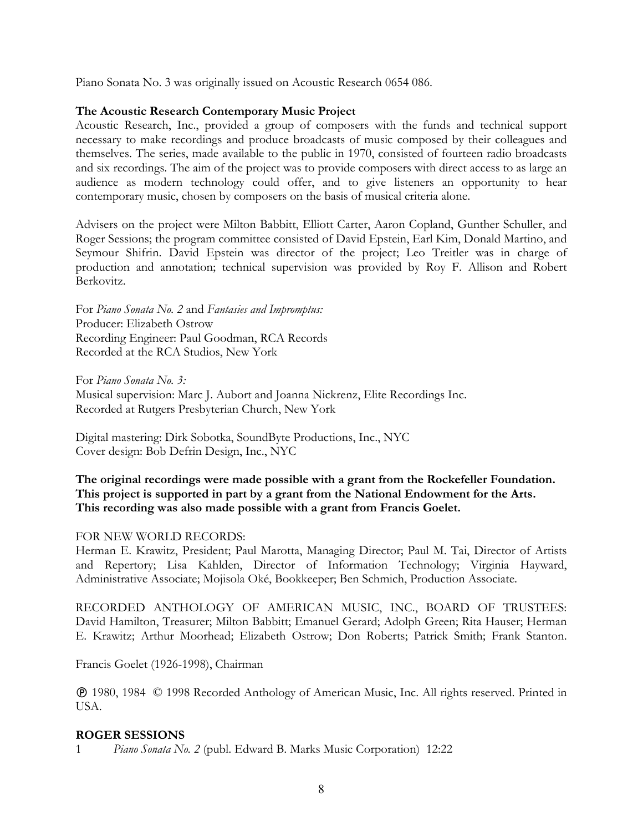Piano Sonata No. 3 was originally issued on Acoustic Research 0654 086.

## **The Acoustic Research Contemporary Music Project**

Acoustic Research, Inc., provided a group of composers with the funds and technical support necessary to make recordings and produce broadcasts of music composed by their colleagues and themselves. The series, made available to the public in 1970, consisted of fourteen radio broadcasts and six recordings. The aim of the project was to provide composers with direct access to as large an audience as modern technology could offer, and to give listeners an opportunity to hear contemporary music, chosen by composers on the basis of musical criteria alone.

Advisers on the project were Milton Babbitt, Elliott Carter, Aaron Copland, Gunther Schuller, and Roger Sessions; the program committee consisted of David Epstein, Earl Kim, Donald Martino, and Seymour Shifrin. David Epstein was director of the project; Leo Treitler was in charge of production and annotation; technical supervision was provided by Roy F. Allison and Robert Berkovitz.

For *Piano Sonata No. 2* and *Fantasies and Impromptus:* Producer: Elizabeth Ostrow Recording Engineer: Paul Goodman, RCA Records Recorded at the RCA Studios, New York

For *Piano Sonata No. 3:* Musical supervision: Marc J. Aubort and Joanna Nickrenz, Elite Recordings Inc. Recorded at Rutgers Presbyterian Church, New York

Digital mastering: Dirk Sobotka, SoundByte Productions, Inc., NYC Cover design: Bob Defrin Design, Inc., NYC

# **The original recordings were made possible with a grant from the Rockefeller Foundation. This project is supported in part by a grant from the National Endowment for the Arts. This recording was also made possible with a grant from Francis Goelet.**

## FOR NEW WORLD RECORDS:

Herman E. Krawitz, President; Paul Marotta, Managing Director; Paul M. Tai, Director of Artists and Repertory; Lisa Kahlden, Director of Information Technology; Virginia Hayward, Administrative Associate; Mojisola Oké, Bookkeeper; Ben Schmich, Production Associate.

RECORDED ANTHOLOGY OF AMERICAN MUSIC, INC., BOARD OF TRUSTEES: David Hamilton, Treasurer; Milton Babbitt; Emanuel Gerard; Adolph Green; Rita Hauser; Herman E. Krawitz; Arthur Moorhead; Elizabeth Ostrow; Don Roberts; Patrick Smith; Frank Stanton.

Francis Goelet (1926-1998), Chairman

 1980, 1984 © 1998 Recorded Anthology of American Music, Inc. All rights reserved. Printed in USA.

## **ROGER SESSIONS**

1 *Piano Sonata No. 2* (publ. Edward B. Marks Music Corporation) 12:22